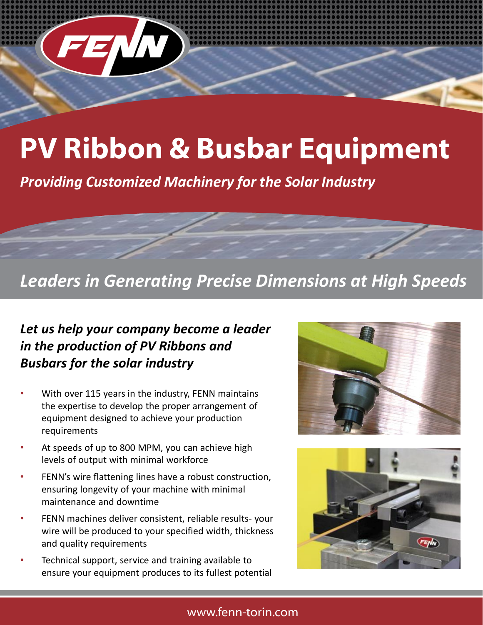

## **PV Ribbon & Busbar Equipment**

*Providing Customized Machinery for the Solar Industry*

## *Leaders in Generating Precise Dimensions at High Speeds*

## *Let us help your company become a leader in the production of PV Ribbons and Busbars for the solar industry*

- With over 115 years in the industry, FENN maintains the expertise to develop the proper arrangement of equipment designed to achieve your production requirements
- At speeds of up to 800 MPM, you can achieve high levels of output with minimal workforce
- FENN's wire flattening lines have a robust construction, ensuring longevity of your machine with minimal maintenance and downtime
- FENN machines deliver consistent, reliable results- your wire will be produced to your specified width, thickness and quality requirements
- Technical support, service and training available to ensure your equipment produces to its fullest potential





### www.fenn-torin.com

Contact our Swager Rebuild Engineer, Matt DeLilla today!